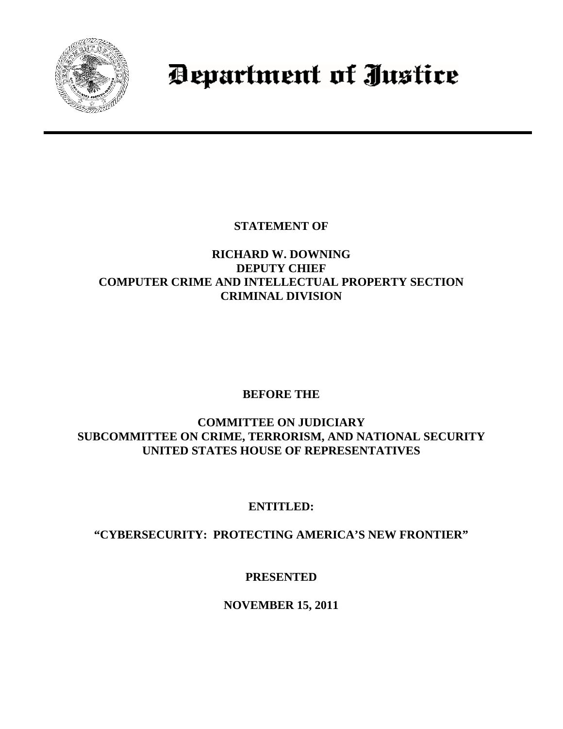

# Department of Justice

**STATEMENT OF**

## **RICHARD W. DOWNING DEPUTY CHIEF COMPUTER CRIME AND INTELLECTUAL PROPERTY SECTION CRIMINAL DIVISION**

# **BEFORE THE**

## **COMMITTEE ON JUDICIARY SUBCOMMITTEE ON CRIME, TERRORISM, AND NATIONAL SECURITY UNITED STATES HOUSE OF REPRESENTATIVES**

# **ENTITLED:**

# **"CYBERSECURITY: PROTECTING AMERICA'S NEW FRONTIER"**

# **PRESENTED**

# **NOVEMBER 15, 2011**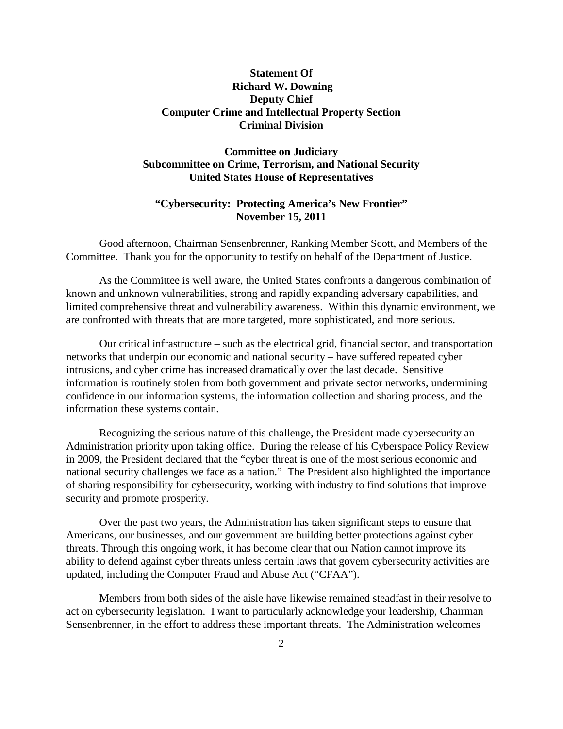## **Statement Of Richard W. Downing Deputy Chief Computer Crime and Intellectual Property Section Criminal Division**

## **Committee on Judiciary Subcommittee on Crime, Terrorism, and National Security United States House of Representatives**

## **"Cybersecurity: Protecting America's New Frontier" November 15, 2011**

Good afternoon, Chairman Sensenbrenner, Ranking Member Scott, and Members of the Committee. Thank you for the opportunity to testify on behalf of the Department of Justice.

As the Committee is well aware, the United States confronts a dangerous combination of known and unknown vulnerabilities, strong and rapidly expanding adversary capabilities, and limited comprehensive threat and vulnerability awareness. Within this dynamic environment, we are confronted with threats that are more targeted, more sophisticated, and more serious.

Our critical infrastructure – such as the electrical grid, financial sector, and transportation networks that underpin our economic and national security – have suffered repeated cyber intrusions, and cyber crime has increased dramatically over the last decade. Sensitive information is routinely stolen from both government and private sector networks, undermining confidence in our information systems, the information collection and sharing process, and the information these systems contain.

Recognizing the serious nature of this challenge, the President made cybersecurity an Administration priority upon taking office. During the release of his Cyberspace Policy Review in 2009, the President declared that the "cyber threat is one of the most serious economic and national security challenges we face as a nation." The President also highlighted the importance of sharing responsibility for cybersecurity, working with industry to find solutions that improve security and promote prosperity.

Over the past two years, the Administration has taken significant steps to ensure that Americans, our businesses, and our government are building better protections against cyber threats. Through this ongoing work, it has become clear that our Nation cannot improve its ability to defend against cyber threats unless certain laws that govern cybersecurity activities are updated, including the Computer Fraud and Abuse Act ("CFAA").

Members from both sides of the aisle have likewise remained steadfast in their resolve to act on cybersecurity legislation. I want to particularly acknowledge your leadership, Chairman Sensenbrenner, in the effort to address these important threats. The Administration welcomes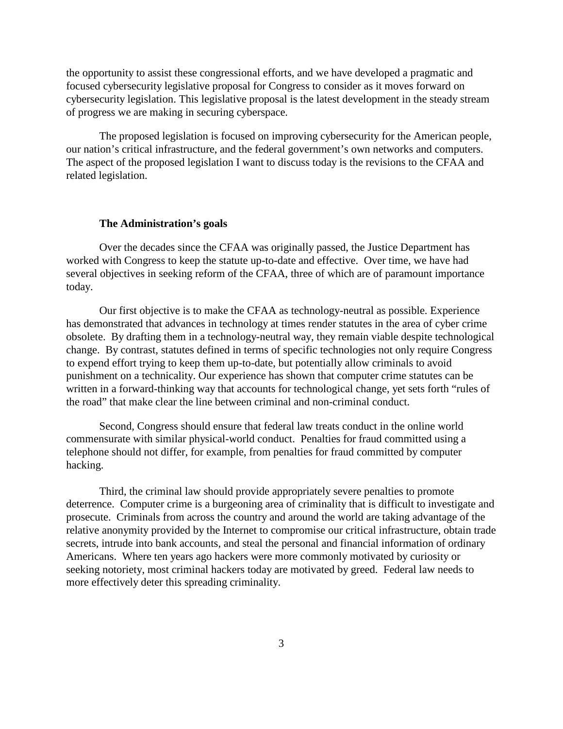the opportunity to assist these congressional efforts, and we have developed a pragmatic and focused cybersecurity legislative proposal for Congress to consider as it moves forward on cybersecurity legislation. This legislative proposal is the latest development in the steady stream of progress we are making in securing cyberspace.

The proposed legislation is focused on improving cybersecurity for the American people, our nation's critical infrastructure, and the federal government's own networks and computers. The aspect of the proposed legislation I want to discuss today is the revisions to the CFAA and related legislation.

#### **The Administration's goals**

Over the decades since the CFAA was originally passed, the Justice Department has worked with Congress to keep the statute up-to-date and effective. Over time, we have had several objectives in seeking reform of the CFAA, three of which are of paramount importance today.

Our first objective is to make the CFAA as technology-neutral as possible. Experience has demonstrated that advances in technology at times render statutes in the area of cyber crime obsolete. By drafting them in a technology-neutral way, they remain viable despite technological change. By contrast, statutes defined in terms of specific technologies not only require Congress to expend effort trying to keep them up-to-date, but potentially allow criminals to avoid punishment on a technicality. Our experience has shown that computer crime statutes can be written in a forward-thinking way that accounts for technological change, yet sets forth "rules of the road" that make clear the line between criminal and non-criminal conduct.

Second, Congress should ensure that federal law treats conduct in the online world commensurate with similar physical-world conduct. Penalties for fraud committed using a telephone should not differ, for example, from penalties for fraud committed by computer hacking.

Third, the criminal law should provide appropriately severe penalties to promote deterrence. Computer crime is a burgeoning area of criminality that is difficult to investigate and prosecute. Criminals from across the country and around the world are taking advantage of the relative anonymity provided by the Internet to compromise our critical infrastructure, obtain trade secrets, intrude into bank accounts, and steal the personal and financial information of ordinary Americans. Where ten years ago hackers were more commonly motivated by curiosity or seeking notoriety, most criminal hackers today are motivated by greed. Federal law needs to more effectively deter this spreading criminality.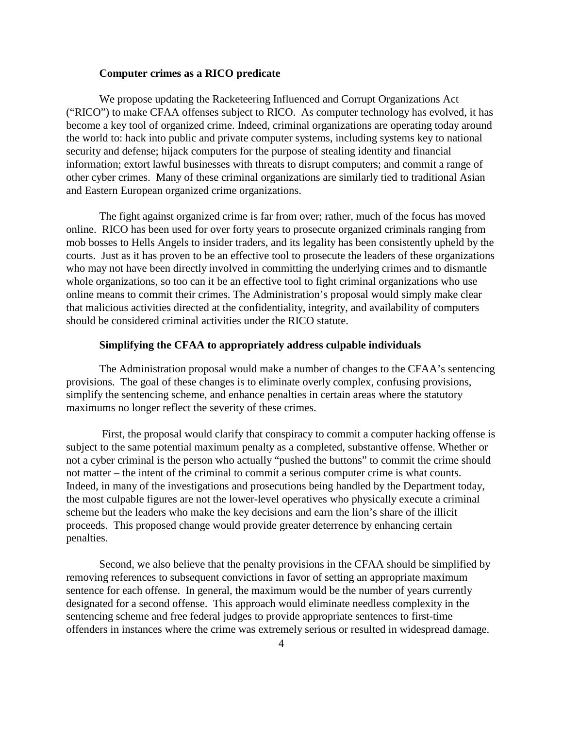### **Computer crimes as a RICO predicate**

We propose updating the Racketeering Influenced and Corrupt Organizations Act ("RICO") to make CFAA offenses subject to RICO. As computer technology has evolved, it has become a key tool of organized crime. Indeed, criminal organizations are operating today around the world to: hack into public and private computer systems, including systems key to national security and defense; hijack computers for the purpose of stealing identity and financial information; extort lawful businesses with threats to disrupt computers; and commit a range of other cyber crimes. Many of these criminal organizations are similarly tied to traditional Asian and Eastern European organized crime organizations.

The fight against organized crime is far from over; rather, much of the focus has moved online. RICO has been used for over forty years to prosecute organized criminals ranging from mob bosses to Hells Angels to insider traders, and its legality has been consistently upheld by the courts. Just as it has proven to be an effective tool to prosecute the leaders of these organizations who may not have been directly involved in committing the underlying crimes and to dismantle whole organizations, so too can it be an effective tool to fight criminal organizations who use online means to commit their crimes. The Administration's proposal would simply make clear that malicious activities directed at the confidentiality, integrity, and availability of computers should be considered criminal activities under the RICO statute.

### **Simplifying the CFAA to appropriately address culpable individuals**

The Administration proposal would make a number of changes to the CFAA's sentencing provisions. The goal of these changes is to eliminate overly complex, confusing provisions, simplify the sentencing scheme, and enhance penalties in certain areas where the statutory maximums no longer reflect the severity of these crimes.

First, the proposal would clarify that conspiracy to commit a computer hacking offense is subject to the same potential maximum penalty as a completed, substantive offense. Whether or not a cyber criminal is the person who actually "pushed the buttons" to commit the crime should not matter – the intent of the criminal to commit a serious computer crime is what counts. Indeed, in many of the investigations and prosecutions being handled by the Department today, the most culpable figures are not the lower-level operatives who physically execute a criminal scheme but the leaders who make the key decisions and earn the lion's share of the illicit proceeds. This proposed change would provide greater deterrence by enhancing certain penalties.

Second, we also believe that the penalty provisions in the CFAA should be simplified by removing references to subsequent convictions in favor of setting an appropriate maximum sentence for each offense. In general, the maximum would be the number of years currently designated for a second offense. This approach would eliminate needless complexity in the sentencing scheme and free federal judges to provide appropriate sentences to first-time offenders in instances where the crime was extremely serious or resulted in widespread damage.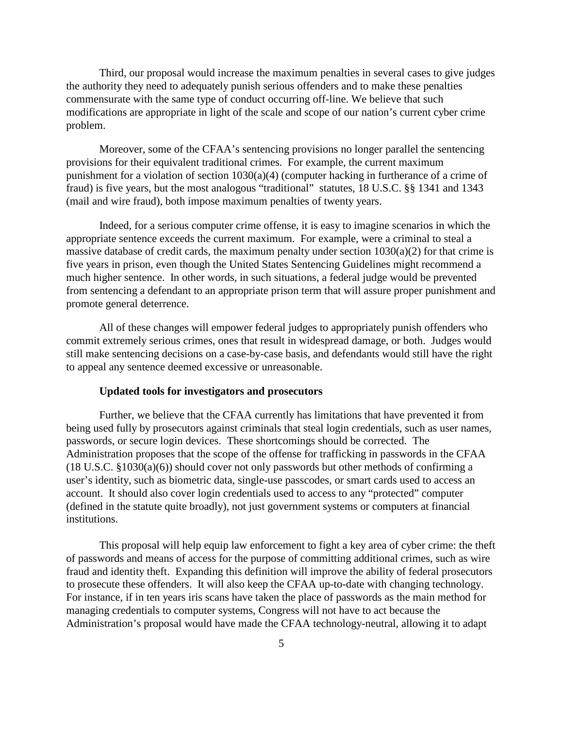Third, our proposal would increase the maximum penalties in several cases to give judges the authority they need to adequately punish serious offenders and to make these penalties commensurate with the same type of conduct occurring off-line. We believe that such modifications are appropriate in light of the scale and scope of our nation's current cyber crime problem.

Moreover, some of the CFAA's sentencing provisions no longer parallel the sentencing provisions for their equivalent traditional crimes. For example, the current maximum punishment for a violation of section 1030(a)(4) (computer hacking in furtherance of a crime of fraud) is five years, but the most analogous "traditional" statutes, 18 U.S.C. §§ 1341 and 1343 (mail and wire fraud), both impose maximum penalties of twenty years.

Indeed, for a serious computer crime offense, it is easy to imagine scenarios in which the appropriate sentence exceeds the current maximum. For example, were a criminal to steal a massive database of credit cards, the maximum penalty under section  $1030(a)(2)$  for that crime is five years in prison, even though the United States Sentencing Guidelines might recommend a much higher sentence. In other words, in such situations, a federal judge would be prevented from sentencing a defendant to an appropriate prison term that will assure proper punishment and promote general deterrence.

All of these changes will empower federal judges to appropriately punish offenders who commit extremely serious crimes, ones that result in widespread damage, or both. Judges would still make sentencing decisions on a case-by-case basis, and defendants would still have the right to appeal any sentence deemed excessive or unreasonable.

#### **Updated tools for investigators and prosecutors**

Further, we believe that the CFAA currently has limitations that have prevented it from being used fully by prosecutors against criminals that steal login credentials, such as user names, passwords, or secure login devices. These shortcomings should be corrected. The Administration proposes that the scope of the offense for trafficking in passwords in the CFAA (18 U.S.C. §1030(a)(6)) should cover not only passwords but other methods of confirming a user's identity, such as biometric data, single-use passcodes, or smart cards used to access an account. It should also cover login credentials used to access to any "protected" computer (defined in the statute quite broadly), not just government systems or computers at financial institutions.

This proposal will help equip law enforcement to fight a key area of cyber crime: the theft of passwords and means of access for the purpose of committing additional crimes, such as wire fraud and identity theft. Expanding this definition will improve the ability of federal prosecutors to prosecute these offenders. It will also keep the CFAA up-to-date with changing technology. For instance, if in ten years iris scans have taken the place of passwords as the main method for managing credentials to computer systems, Congress will not have to act because the Administration's proposal would have made the CFAA technology-neutral, allowing it to adapt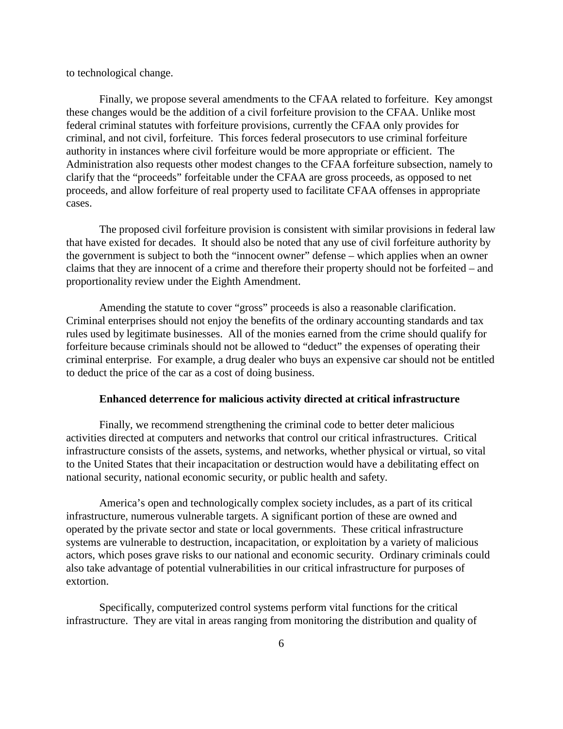to technological change.

Finally, we propose several amendments to the CFAA related to forfeiture. Key amongst these changes would be the addition of a civil forfeiture provision to the CFAA. Unlike most federal criminal statutes with forfeiture provisions, currently the CFAA only provides for criminal, and not civil, forfeiture. This forces federal prosecutors to use criminal forfeiture authority in instances where civil forfeiture would be more appropriate or efficient. The Administration also requests other modest changes to the CFAA forfeiture subsection, namely to clarify that the "proceeds" forfeitable under the CFAA are gross proceeds, as opposed to net proceeds, and allow forfeiture of real property used to facilitate CFAA offenses in appropriate cases.

The proposed civil forfeiture provision is consistent with similar provisions in federal law that have existed for decades. It should also be noted that any use of civil forfeiture authority by the government is subject to both the "innocent owner" defense – which applies when an owner claims that they are innocent of a crime and therefore their property should not be forfeited – and proportionality review under the Eighth Amendment.

Amending the statute to cover "gross" proceeds is also a reasonable clarification. Criminal enterprises should not enjoy the benefits of the ordinary accounting standards and tax rules used by legitimate businesses. All of the monies earned from the crime should qualify for forfeiture because criminals should not be allowed to "deduct" the expenses of operating their criminal enterprise. For example, a drug dealer who buys an expensive car should not be entitled to deduct the price of the car as a cost of doing business.

#### **Enhanced deterrence for malicious activity directed at critical infrastructure**

Finally, we recommend strengthening the criminal code to better deter malicious activities directed at computers and networks that control our critical infrastructures. Critical infrastructure consists of the assets, systems, and networks, whether physical or virtual, so vital to the United States that their incapacitation or destruction would have a debilitating effect on national security, national economic security, or public health and safety.

America's open and technologically complex society includes, as a part of its critical infrastructure, numerous vulnerable targets. A significant portion of these are owned and operated by the private sector and state or local governments. These critical infrastructure systems are vulnerable to destruction, incapacitation, or exploitation by a variety of malicious actors, which poses grave risks to our national and economic security. Ordinary criminals could also take advantage of potential vulnerabilities in our critical infrastructure for purposes of extortion.

Specifically, computerized control systems perform vital functions for the critical infrastructure. They are vital in areas ranging from monitoring the distribution and quality of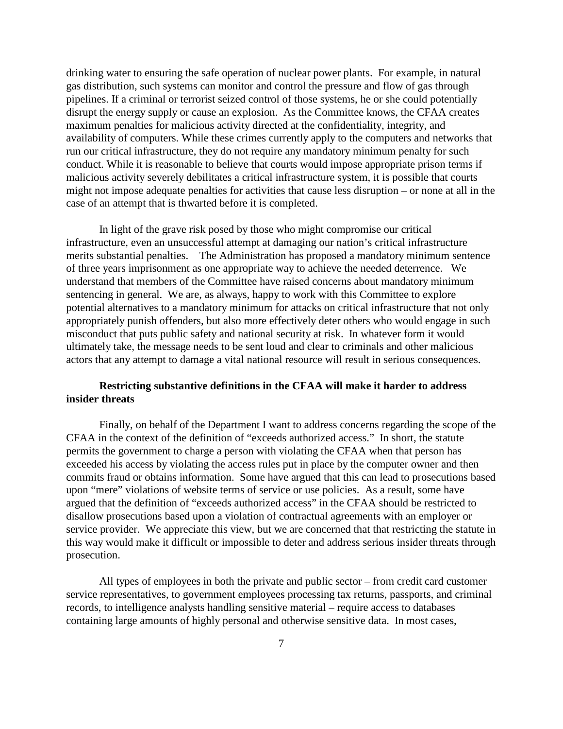drinking water to ensuring the safe operation of nuclear power plants. For example, in natural gas distribution, such systems can monitor and control the pressure and flow of gas through pipelines. If a criminal or terrorist seized control of those systems, he or she could potentially disrupt the energy supply or cause an explosion. As the Committee knows, the CFAA creates maximum penalties for malicious activity directed at the confidentiality, integrity, and availability of computers. While these crimes currently apply to the computers and networks that run our critical infrastructure, they do not require any mandatory minimum penalty for such conduct. While it is reasonable to believe that courts would impose appropriate prison terms if malicious activity severely debilitates a critical infrastructure system, it is possible that courts might not impose adequate penalties for activities that cause less disruption – or none at all in the case of an attempt that is thwarted before it is completed.

In light of the grave risk posed by those who might compromise our critical infrastructure, even an unsuccessful attempt at damaging our nation's critical infrastructure merits substantial penalties. The Administration has proposed a mandatory minimum sentence of three years imprisonment as one appropriate way to achieve the needed deterrence. We understand that members of the Committee have raised concerns about mandatory minimum sentencing in general. We are, as always, happy to work with this Committee to explore potential alternatives to a mandatory minimum for attacks on critical infrastructure that not only appropriately punish offenders, but also more effectively deter others who would engage in such misconduct that puts public safety and national security at risk. In whatever form it would ultimately take, the message needs to be sent loud and clear to criminals and other malicious actors that any attempt to damage a vital national resource will result in serious consequences.

## **Restricting substantive definitions in the CFAA will make it harder to address insider threats**

Finally, on behalf of the Department I want to address concerns regarding the scope of the CFAA in the context of the definition of "exceeds authorized access." In short, the statute permits the government to charge a person with violating the CFAA when that person has exceeded his access by violating the access rules put in place by the computer owner and then commits fraud or obtains information. Some have argued that this can lead to prosecutions based upon "mere" violations of website terms of service or use policies. As a result, some have argued that the definition of "exceeds authorized access" in the CFAA should be restricted to disallow prosecutions based upon a violation of contractual agreements with an employer or service provider. We appreciate this view, but we are concerned that that restricting the statute in this way would make it difficult or impossible to deter and address serious insider threats through prosecution.

All types of employees in both the private and public sector – from credit card customer service representatives, to government employees processing tax returns, passports, and criminal records, to intelligence analysts handling sensitive material – require access to databases containing large amounts of highly personal and otherwise sensitive data. In most cases,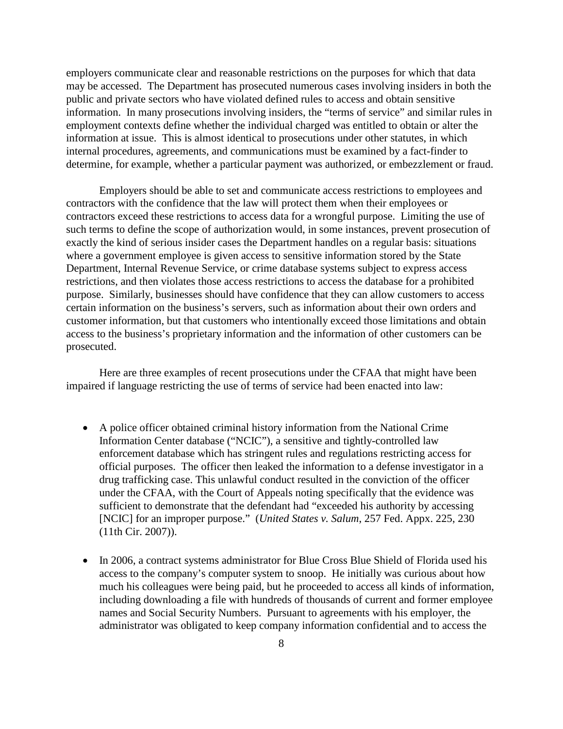employers communicate clear and reasonable restrictions on the purposes for which that data may be accessed. The Department has prosecuted numerous cases involving insiders in both the public and private sectors who have violated defined rules to access and obtain sensitive information. In many prosecutions involving insiders, the "terms of service" and similar rules in employment contexts define whether the individual charged was entitled to obtain or alter the information at issue. This is almost identical to prosecutions under other statutes, in which internal procedures, agreements, and communications must be examined by a fact-finder to determine, for example, whether a particular payment was authorized, or embezzlement or fraud.

Employers should be able to set and communicate access restrictions to employees and contractors with the confidence that the law will protect them when their employees or contractors exceed these restrictions to access data for a wrongful purpose. Limiting the use of such terms to define the scope of authorization would, in some instances, prevent prosecution of exactly the kind of serious insider cases the Department handles on a regular basis: situations where a government employee is given access to sensitive information stored by the State Department, Internal Revenue Service, or crime database systems subject to express access restrictions, and then violates those access restrictions to access the database for a prohibited purpose. Similarly, businesses should have confidence that they can allow customers to access certain information on the business's servers, such as information about their own orders and customer information, but that customers who intentionally exceed those limitations and obtain access to the business's proprietary information and the information of other customers can be prosecuted.

Here are three examples of recent prosecutions under the CFAA that might have been impaired if language restricting the use of terms of service had been enacted into law:

- A police officer obtained criminal history information from the National Crime Information Center database ("NCIC"), a sensitive and tightly-controlled law enforcement database which has stringent rules and regulations restricting access for official purposes. The officer then leaked the information to a defense investigator in a drug trafficking case. This unlawful conduct resulted in the conviction of the officer under the CFAA, with the Court of Appeals noting specifically that the evidence was sufficient to demonstrate that the defendant had "exceeded his authority by accessing [NCIC] for an improper purpose." (*United States v. Salum*, 257 Fed. Appx. 225, 230 (11th Cir. 2007)).
- In 2006, a contract systems administrator for Blue Cross Blue Shield of Florida used his access to the company's computer system to snoop. He initially was curious about how much his colleagues were being paid, but he proceeded to access all kinds of information, including downloading a file with hundreds of thousands of current and former employee names and Social Security Numbers. Pursuant to agreements with his employer, the administrator was obligated to keep company information confidential and to access the